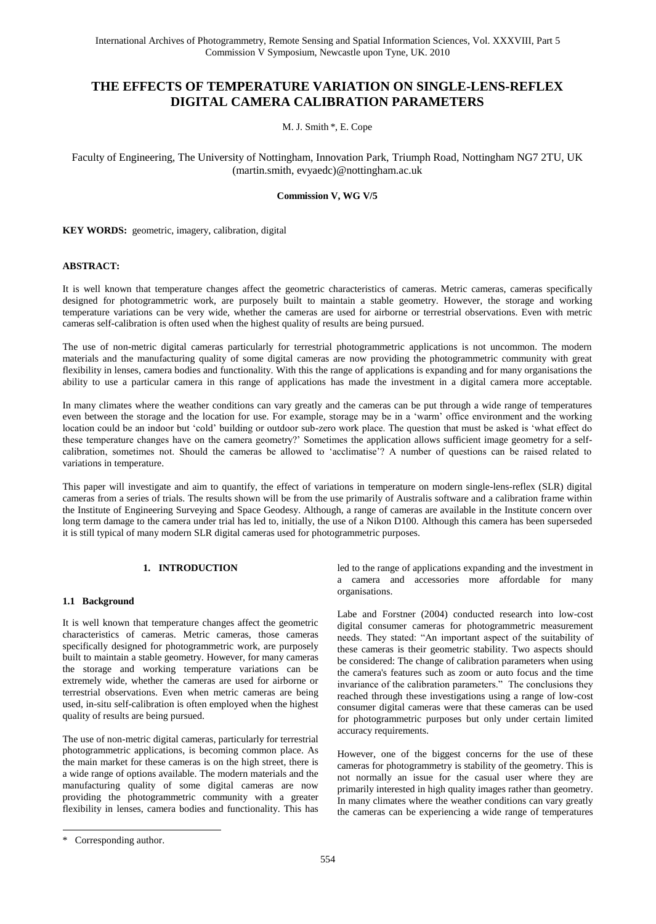# **THE EFFECTS OF TEMPERATURE VARIATION ON SINGLE-LENS-REFLEX DIGITAL CAMERA CALIBRATION PARAMETERS**

M. J. Smith \*, E. Cope

Faculty of Engineering, The University of Nottingham, Innovation Park, Triumph Road, Nottingham NG7 2TU, UK (martin.smith, evyaedc)@nottingham.ac.uk

# **Commission V, WG V/5**

**KEY WORDS:** geometric, imagery, calibration, digital

# **ABSTRACT:**

It is well known that temperature changes affect the geometric characteristics of cameras. Metric cameras, cameras specifically designed for photogrammetric work, are purposely built to maintain a stable geometry. However, the storage and working temperature variations can be very wide, whether the cameras are used for airborne or terrestrial observations. Even with metric cameras self-calibration is often used when the highest quality of results are being pursued.

The use of non-metric digital cameras particularly for terrestrial photogrammetric applications is not uncommon. The modern materials and the manufacturing quality of some digital cameras are now providing the photogrammetric community with great flexibility in lenses, camera bodies and functionality. With this the range of applications is expanding and for many organisations the ability to use a particular camera in this range of applications has made the investment in a digital camera more acceptable.

In many climates where the weather conditions can vary greatly and the cameras can be put through a wide range of temperatures even between the storage and the location for use. For example, storage may be in a "warm" office environment and the working location could be an indoor but "cold" building or outdoor sub-zero work place. The question that must be asked is "what effect do these temperature changes have on the camera geometry?" Sometimes the application allows sufficient image geometry for a selfcalibration, sometimes not. Should the cameras be allowed to "acclimatise"? A number of questions can be raised related to variations in temperature.

This paper will investigate and aim to quantify, the effect of variations in temperature on modern single-lens-reflex (SLR) digital cameras from a series of trials. The results shown will be from the use primarily of Australis software and a calibration frame within the Institute of Engineering Surveying and Space Geodesy. Although, a range of cameras are available in the Institute concern over long term damage to the camera under trial has led to, initially, the use of a Nikon D100. Although this camera has been superseded it is still typical of many modern SLR digital cameras used for photogrammetric purposes.

# **1. INTRODUCTION**

#### **1.1 Background**

It is well known that temperature changes affect the geometric characteristics of cameras. Metric cameras, those cameras specifically designed for photogrammetric work, are purposely built to maintain a stable geometry. However, for many cameras the storage and working temperature variations can be extremely wide, whether the cameras are used for airborne or terrestrial observations. Even when metric cameras are being used, in-situ self-calibration is often employed when the highest quality of results are being pursued.

The use of non-metric digital cameras, particularly for terrestrial photogrammetric applications, is becoming common place. As the main market for these cameras is on the high street, there is a wide range of options available. The modern materials and the manufacturing quality of some digital cameras are now providing the photogrammetric community with a greater flexibility in lenses, camera bodies and functionality. This has led to the range of applications expanding and the investment in a camera and accessories more affordable for many organisations.

Labe and Forstner (2004) conducted research into low-cost digital consumer cameras for photogrammetric measurement needs. They stated: "An important aspect of the suitability of these cameras is their geometric stability. Two aspects should be considered: The change of calibration parameters when using the camera's features such as zoom or auto focus and the time invariance of the calibration parameters." The conclusions they reached through these investigations using a range of low-cost consumer digital cameras were that these cameras can be used for photogrammetric purposes but only under certain limited accuracy requirements.

However, one of the biggest concerns for the use of these cameras for photogrammetry is stability of the geometry. This is not normally an issue for the casual user where they are primarily interested in high quality images rather than geometry. In many climates where the weather conditions can vary greatly the cameras can be experiencing a wide range of temperatures

 $\overline{a}$ 

Corresponding author.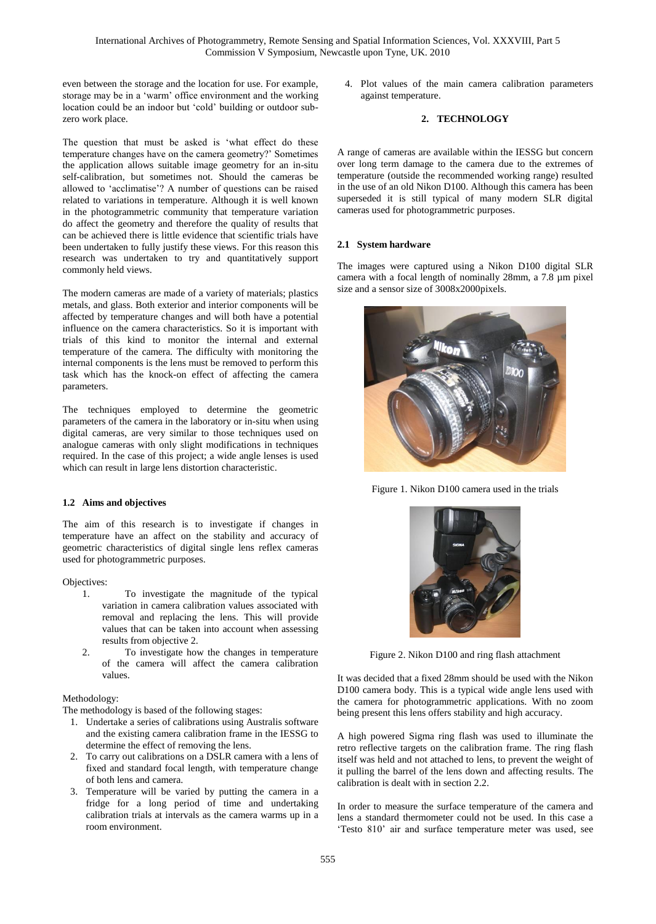even between the storage and the location for use. For example, storage may be in a "warm" office environment and the working location could be an indoor but "cold" building or outdoor subzero work place.

The question that must be asked is "what effect do these temperature changes have on the camera geometry?" Sometimes the application allows suitable image geometry for an in-situ self-calibration, but sometimes not. Should the cameras be allowed to "acclimatise"? A number of questions can be raised related to variations in temperature. Although it is well known in the photogrammetric community that temperature variation do affect the geometry and therefore the quality of results that can be achieved there is little evidence that scientific trials have been undertaken to fully justify these views. For this reason this research was undertaken to try and quantitatively support commonly held views.

The modern cameras are made of a variety of materials; plastics metals, and glass. Both exterior and interior components will be affected by temperature changes and will both have a potential influence on the camera characteristics. So it is important with trials of this kind to monitor the internal and external temperature of the camera. The difficulty with monitoring the internal components is the lens must be removed to perform this task which has the knock-on effect of affecting the camera parameters.

The techniques employed to determine the geometric parameters of the camera in the laboratory or in-situ when using digital cameras, are very similar to those techniques used on analogue cameras with only slight modifications in techniques required. In the case of this project; a wide angle lenses is used which can result in large lens distortion characteristic.

# **1.2 Aims and objectives**

The aim of this research is to investigate if changes in temperature have an affect on the stability and accuracy of geometric characteristics of digital single lens reflex cameras used for photogrammetric purposes.

Objectives:

- 1. To investigate the magnitude of the typical variation in camera calibration values associated with removal and replacing the lens. This will provide values that can be taken into account when assessing results from objective 2.
- 2. To investigate how the changes in temperature of the camera will affect the camera calibration values.

# Methodology:

The methodology is based of the following stages:

- 1. Undertake a series of calibrations using Australis software and the existing camera calibration frame in the IESSG to determine the effect of removing the lens.
- 2. To carry out calibrations on a DSLR camera with a lens of fixed and standard focal length, with temperature change of both lens and camera.
- 3. Temperature will be varied by putting the camera in a fridge for a long period of time and undertaking calibration trials at intervals as the camera warms up in a room environment.

4. Plot values of the main camera calibration parameters against temperature.

# **2. TECHNOLOGY**

A range of cameras are available within the IESSG but concern over long term damage to the camera due to the extremes of temperature (outside the recommended working range) resulted in the use of an old Nikon D100. Although this camera has been superseded it is still typical of many modern SLR digital cameras used for photogrammetric purposes.

# **2.1 System hardware**

The images were captured using a Nikon D100 digital SLR camera with a focal length of nominally 28mm, a 7.8 µm pixel size and a sensor size of 3008x2000pixels.



Figure 1. Nikon D100 camera used in the trials



Figure 2. Nikon D100 and ring flash attachment

It was decided that a fixed 28mm should be used with the Nikon D100 camera body. This is a typical wide angle lens used with the camera for photogrammetric applications. With no zoom being present this lens offers stability and high accuracy.

A high powered Sigma ring flash was used to illuminate the retro reflective targets on the calibration frame. The ring flash itself was held and not attached to lens, to prevent the weight of it pulling the barrel of the lens down and affecting results. The calibration is dealt with in section 2.2.

In order to measure the surface temperature of the camera and lens a standard thermometer could not be used. In this case a ["Testo](http://www.jmwlimited.co.uk/Testo_I_S.html?d=ttesto) 810" air and surface temperature meter was used, see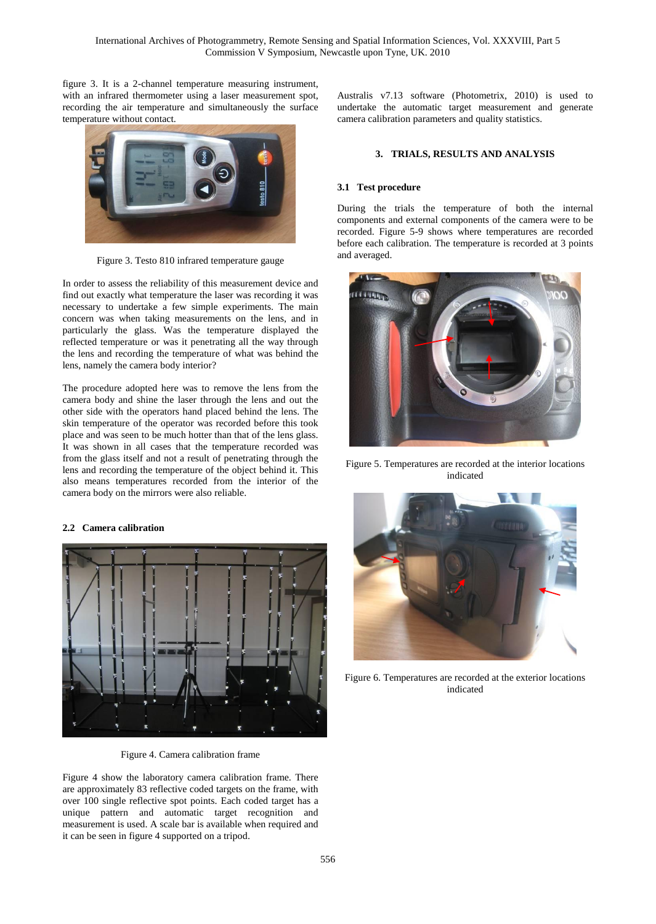figure 3. It is a 2-channel temperature measuring instrument, with an infrared thermometer using a laser measurement spot, recording the air temperature and simultaneously the surface temperature without contact.



Figure 3. Testo 810 infrared temperature gauge

In order to assess the reliability of this measurement device and find out exactly what temperature the laser was recording it was necessary to undertake a few simple experiments. The main concern was when taking measurements on the lens, and in particularly the glass. Was the temperature displayed the reflected temperature or was it penetrating all the way through the lens and recording the temperature of what was behind the lens, namely the camera body interior?

The procedure adopted here was to remove the lens from the camera body and shine the laser through the lens and out the other side with the operators hand placed behind the lens. The skin temperature of the operator was recorded before this took place and was seen to be much hotter than that of the lens glass. It was shown in all cases that the temperature recorded was from the glass itself and not a result of penetrating through the lens and recording the temperature of the object behind it. This also means temperatures recorded from the interior of the camera body on the mirrors were also reliable.



Figure 4. Camera calibration frame

Figure 4 show the laboratory camera calibration frame. There are approximately 83 reflective coded targets on the frame, with over 100 single reflective spot points. Each coded target has a unique pattern and automatic target recognition and measurement is used. A scale bar is available when required and it can be seen in figure 4 supported on a tripod.

Australis v7.13 software (Photometrix, 2010) is used to undertake the automatic target measurement and generate camera calibration parameters and quality statistics.

## **3. TRIALS, RESULTS AND ANALYSIS**

#### **3.1 Test procedure**

During the trials the temperature of both the internal components and external components of the camera were to be recorded. Figure 5-9 shows where temperatures are recorded before each calibration. The temperature is recorded at 3 points and averaged.



Figure 5. Temperatures are recorded at the interior locations indicated



Figure 6. Temperatures are recorded at the exterior locations indicated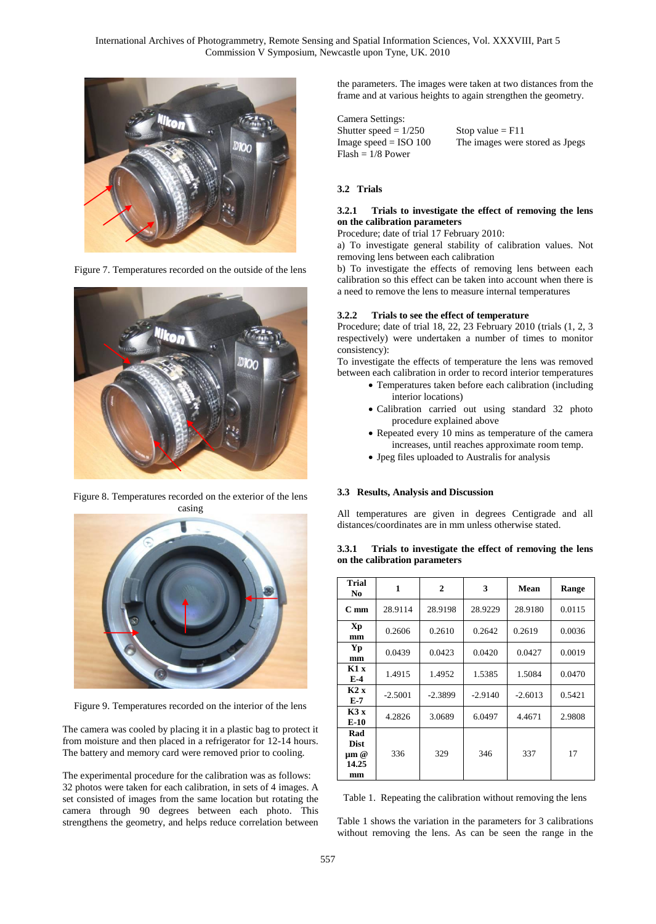International Archives of Photogrammetry, Remote Sensing and Spatial Information Sciences, Vol. XXXVIII, Part 5 Commission V Symposium, Newcastle upon Tyne, UK. 2010



Figure 7. Temperatures recorded on the outside of the lens



Figure 8. Temperatures recorded on the exterior of the lens casing



Figure 9. Temperatures recorded on the interior of the lens

The camera was cooled by placing it in a plastic bag to protect it from moisture and then placed in a refrigerator for 12-14 hours. The battery and memory card were removed prior to cooling.

The experimental procedure for the calibration was as follows: 32 photos were taken for each calibration, in sets of 4 images. A set consisted of images from the same location but rotating the camera through 90 degrees between each photo. This strengthens the geometry, and helps reduce correlation between the parameters. The images were taken at two distances from the frame and at various heights to again strengthen the geometry.

Camera Settings: Shutter speed =  $1/250$  Stop value = F11<br>Image speed = ISO 100 The images were  $Flash = 1/8$  Power

The images were stored as Jpegs

# **3.2 Trials**

#### **3.2.1 Trials to investigate the effect of removing the lens on the calibration parameters**

Procedure; date of trial 17 February 2010:

a) To investigate general stability of calibration values. Not removing lens between each calibration

b) To investigate the effects of removing lens between each calibration so this effect can be taken into account when there is a need to remove the lens to measure internal temperatures

#### **3.2.2 Trials to see the effect of temperature**

Procedure; date of trial 18, 22, 23 February 2010 (trials (1, 2, 3 respectively) were undertaken a number of times to monitor consistency):

To investigate the effects of temperature the lens was removed between each calibration in order to record interior temperatures

- Temperatures taken before each calibration (including interior locations)
- Calibration carried out using standard 32 photo procedure explained above
- Repeated every 10 mins as temperature of the camera increases, until reaches approximate room temp.
- Jpeg files uploaded to Australis for analysis

#### **3.3 Results, Analysis and Discussion**

All temperatures are given in degrees Centigrade and all distances/coordinates are in mm unless otherwise stated.

**3.3.1 Trials to investigate the effect of removing the lens on the calibration parameters**

| Trial<br>No.                                   | 1         | $\mathbf 2$ | 3         | Mean      | Range  |
|------------------------------------------------|-----------|-------------|-----------|-----------|--------|
| $C_{\rm mm}$                                   | 28.9114   | 28.9198     | 28.9229   | 28.9180   | 0.0115 |
| Xp<br>mm                                       | 0.2606    | 0.2610      | 0.2642    | 0.2619    | 0.0036 |
| Yp<br>mm                                       | 0.0439    | 0.0423      | 0.0420    | 0.0427    | 0.0019 |
| K1x<br>$E-4$                                   | 1.4915    | 1.4952      | 1.5385    | 1.5084    | 0.0470 |
| K2x<br>$E-7$                                   | $-2.5001$ | $-2.3899$   | $-2.9140$ | $-2.6013$ | 0.5421 |
| K3x<br>E-10                                    | 4.2826    | 3.0689      | 6.0497    | 4.4671    | 2.9808 |
| Rad<br><b>Dist</b><br>$\mu$ m @<br>14.25<br>mm | 336       | 329         | 346       | 337       | 17     |

Table 1. Repeating the calibration without removing the lens

Table 1 shows the variation in the parameters for 3 calibrations without removing the lens. As can be seen the range in the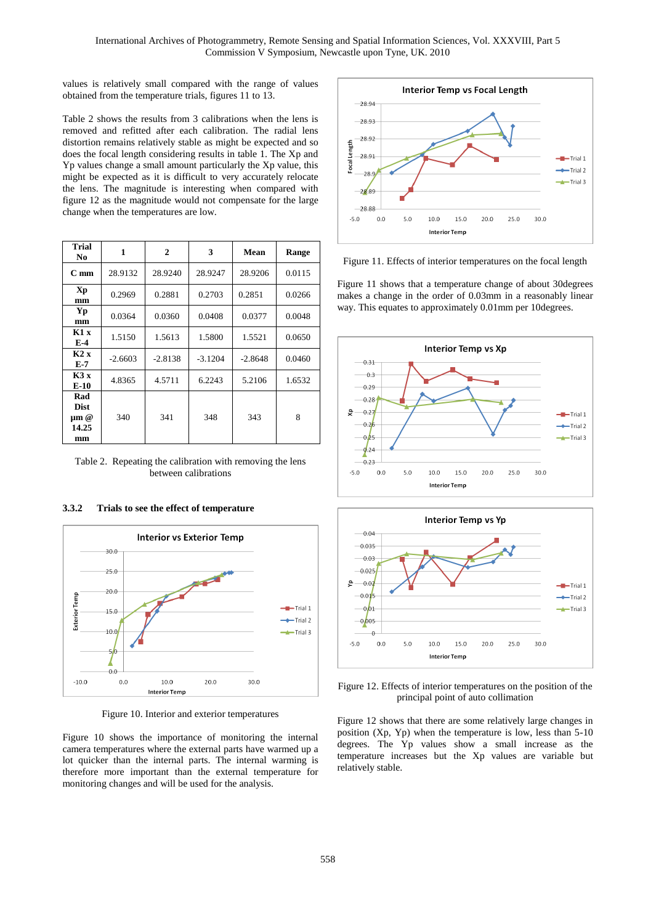values is relatively small compared with the range of values obtained from the temperature trials, figures 11 to 13.

Table 2 shows the results from 3 calibrations when the lens is removed and refitted after each calibration. The radial lens distortion remains relatively stable as might be expected and so does the focal length considering results in table 1. The Xp and Yp values change a small amount particularly the Xp value, this might be expected as it is difficult to very accurately relocate the lens. The magnitude is interesting when compared with figure 12 as the magnitude would not compensate for the large change when the temperatures are low.

| Trial<br>No.                                   | 1         | 2         | 3         | Mean      | Range  |
|------------------------------------------------|-----------|-----------|-----------|-----------|--------|
| $C_{mm}$                                       | 28.9132   | 28.9240   | 28.9247   | 28.9206   | 0.0115 |
| Xp<br>mm                                       | 0.2969    | 0.2881    | 0.2703    | 0.2851    | 0.0266 |
| Yp<br>mm                                       | 0.0364    | 0.0360    | 0.0408    | 0.0377    | 0.0048 |
| K1x<br>$E-4$                                   | 1.5150    | 1.5613    | 1.5800    | 1.5521    | 0.0650 |
| K2 X<br>E-7                                    | $-2.6603$ | $-2.8138$ | $-3.1204$ | $-2.8648$ | 0.0460 |
| K3x<br>$E-10$                                  | 4.8365    | 4.5711    | 6.2243    | 5.2106    | 1.6532 |
| Rad<br><b>Dist</b><br>$\mu$ m @<br>14.25<br>mm | 340       | 341       | 348       | 343       | 8      |

Table 2. Repeating the calibration with removing the lens between calibrations

# **3.3.2 Trials to see the effect of temperature**



Figure 10. Interior and exterior temperatures

Figure 10 shows the importance of monitoring the internal camera temperatures where the external parts have warmed up a lot quicker than the internal parts. The internal warming is therefore more important than the external temperature for monitoring changes and will be used for the analysis.



Figure 11. Effects of interior temperatures on the focal length

Figure 11 shows that a temperature change of about 30degrees makes a change in the order of 0.03mm in a reasonably linear way. This equates to approximately 0.01mm per 10degrees.





Figure 12. Effects of interior temperatures on the position of the principal point of auto collimation

Figure 12 shows that there are some relatively large changes in position (Xp, Yp) when the temperature is low, less than 5-10 degrees. The Yp values show a small increase as the temperature increases but the Xp values are variable but relatively stable.